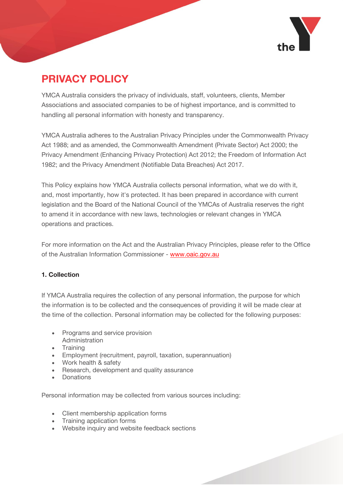

# **PRIVACY POLICY**

**PRIVACY POLICY** YMCA Australia considers the privacy of individuals, staff, volunteers, clients, Member Associations and associated companies to be of highest importance, and is committed to handling all personal information with honesty and transparency.

YMCA Australia adheres to the Australian Privacy Principles under the Commonwealth Privacy Act 1988; and as amended, the Commonwealth Amendment (Private Sector) Act 2000; the Privacy Amendment (Enhancing Privacy Protection) Act 2012; the Freedom of Information Act 1982; and the Privacy Amendment (Notifiable Data Breaches) Act 2017.

This Policy explains how YMCA Australia collects personal information, what we do with it, and, most importantly, how it's protected. It has been prepared in accordance with current legislation and the Board of the National Council of the YMCAs of Australia reserves the right to amend it in accordance with new laws, technologies or relevant changes in YMCA operations and practices.

For more information on the Act and the Australian Privacy Principles, please refer to the Office of the Australian Information Commissioner - [www.oaic.gov.au](http://www.oaic.gov.au/index.html)

#### 1. Collection **1. Collection**

If YMCA Australia requires the collection of any personal information, the purpose for which the information is to be collected and the consequences of providing it will be made clear at the time of the collection. Personal information may be collected for the following purposes:

- Programs and service provision Administration
- Training
- Employment (recruitment, payroll, taxation, superannuation)
- Work health & safety
- Research, development and quality assurance
- Donations

Personal information may be collected from various sources including:

- Client membership application forms
- Training application forms
- Website inquiry and website feedback sections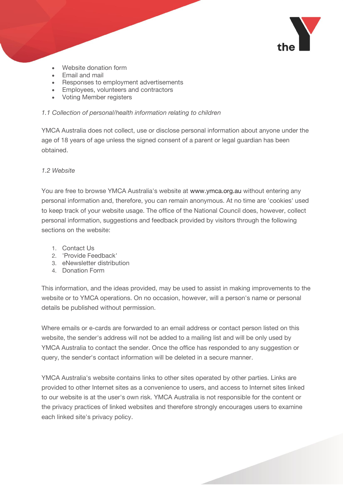

- Website donation form
- Email and mail
- Responses to employment advertisements
- Employees, volunteers and contractors
- Voting Member registers

#### 1.1 Collection of personal/health information relating to children *1.1 Collection of personal/health information relating to children*

YMCA Australia does not collect, use or disclose personal information about anyone under the age of 18 years of age unless the signed consent of a parent or legal guardian has been obtained.

### 1.2 Website

You are free to browse YMCA Australia's website at [www.ymca.org.au](http://ymca.org.au/Pages/default.aspx) without entering any personal information and, therefore, you can remain anonymous. At no time are 'cookies' used to keep track of your website usage. The office of the National Council does, however, collect personal information, suggestions and feedback provided by visitors through the following sections on the website:

- 1. Contact Us
- 2. 'Provide Feedback'
- 3. eNewsletter distribution
- 4. Donation Form

This information, and the ideas provided, may be used to assist in making improvements to the website or to YMCA operations. On no occasion, however, will a person's name or personal details be published without permission.

Where emails or e-cards are forwarded to an email address or contact person listed on this website, the sender's address will not be added to a mailing list and will be only used by YMCA Australia to contact the sender. Once the office has responded to any suggestion or query, the sender's contact information will be deleted in a secure manner.

YMCA Australia's website contains links to other sites operated by other parties. Links are provided to other Internet sites as a convenience to users, and access to Internet sites linked to our website is at the user's own risk. YMCA Australia is not responsible for the content or the privacy practices of linked websites and therefore strongly encourages users to examine each linked site's privacy policy.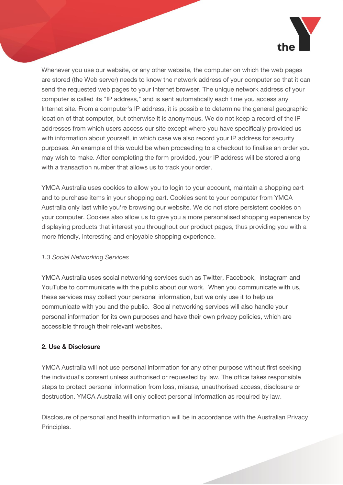

Whenever you use our website, or any other website, the computer on which the web pages are stored (the Web server) needs to know the network address of your computer so that it can send the requested web pages to your Internet browser. The unique network address of your computer is called its "IP address," and is sent automatically each time you access any Internet site. From a computer's IP address, it is possible to determine the general geographic location of that computer, but otherwise it is anonymous. We do not keep a record of the IP addresses from which users access our site except where you have specifically provided us with information about yourself, in which case we also record your IP address for security purposes. An example of this would be when proceeding to a checkout to finalise an order you may wish to make. After completing the form provided, your IP address will be stored along with a transaction number that allows us to track your order.

YMCA Australia uses cookies to allow you to login to your account, maintain a shopping cart and to purchase items in your shopping cart. Cookies sent to your computer from YMCA Australia only last while you're browsing our website. We do not store persistent cookies on your computer. Cookies also allow us to give you a more personalised shopping experience by displaying products that interest you throughout our product pages, thus providing you with a more friendly, interesting and enjoyable shopping experience.

## *1.3 Social Networking Services*

YMCA Australia uses social networking services such as Twitter, Facebook, Instagram and YouTube to communicate with the public about our work. When you communicate with us, these services may collect your personal information, but we only use it to help us communicate with you and the public. Social networking services will also handle your personal information for its own purposes and have their own privacy policies, which are accessible through their relevant websites.

## 2. Use & Disclosure

YMCA Australia will not use personal information for any other purpose without first seeking the individual's consent unless authorised or requested by law. The office takes responsible steps to protect personal information from loss, misuse, unauthorised access, disclosure or destruction. YMCA Australia will only collect personal information as required by law.

Disclosure of personal and health information will be in accordance with the Australian Privacy Principles.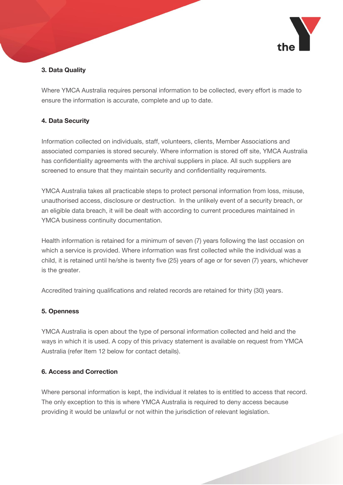

### 3. Data Quality **3. Data Quality**

Where YMCA Australia requires personal information to be collected, every effort is made to ensure the information is accurate, complete and up to date.

## **4. Data Security**

Information collected on individuals, staff, volunteers, clients, Member Associations and associated companies is stored securely. Where information is stored off site, YMCA Australia has confidentiality agreements with the archival suppliers in place. All such suppliers are screened to ensure that they maintain security and confidentiality requirements.

YMCA Australia takes all practicable steps to protect personal information from loss, misuse, unauthorised access, disclosure or destruction. In the unlikely event of a security breach, or an eligible data breach, it will be dealt with according to current procedures maintained in YMCA business continuity documentation.

Health information is retained for a minimum of seven (7) years following the last occasion on which a service is provided. Where information was first collected while the individual was a child, it is retained until he/she is twenty five (25) years of age or for seven (7) years, whichever is the greater.

Accredited training qualifications and related records are retained for thirty (30) years.

## **5. Openness**

YMCA Australia is open about the type of personal information collected and held and the ways in which it is used. A copy of this privacy statement is available on request from YMCA Australia (refer Item 12 below for contact details).

#### **6. Access and Correction 6. Access and Correction**

Where personal information is kept, the individual it relates to is entitled to access that record. The only exception to this is where YMCA Australia is required to deny access because providing it would be unlawful or not within the jurisdiction of relevant legislation.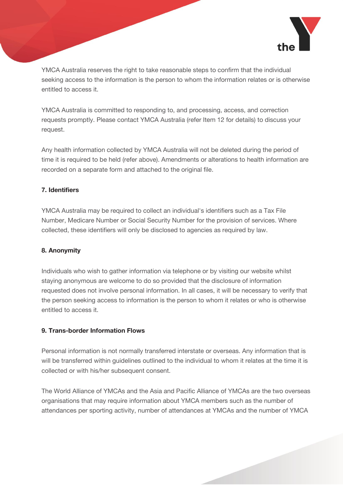

YMCA Australia reserves the right to take reasonable steps to confirm that the individual seeking access to the information is the person to whom the information relates or is otherwise entitled to access it.

YMCA Australia is committed to responding to, and processing, access, and correction requests promptly. Please contact YMCA Australia (refer Item 12 for details) to discuss your request.

Any health information collected by YMCA Australia will not be deleted during the period of time it is required to be held (refer above). Amendments or alterations to health information are recorded on a separate form and attached to the original file.

### 7. Identifiers

YMCA Australia may be required to collect an individual's identifiers such as a Tax File Number, Medicare Number or Social Security Number for the provision of services. Where collected, these identifiers will only be disclosed to agencies as required by law.

## **8. Anonymity**

Individuals who wish to gather information via telephone or by visiting our website whilst staying anonymous are welcome to do so provided that the disclosure of information requested does not involve personal information. In all cases, it will be necessary to verify that the person seeking access to information is the person to whom it relates or who is otherwise entitled to access it.

#### 9. Trans-border Information Flows **9. Trans-border Information Flows**

Personal information is not normally transferred interstate or overseas. Any information that is will be transferred within guidelines outlined to the individual to whom it relates at the time it is collected or with his/her subsequent consent.

The World Alliance of YMCAs and the Asia and Pacific Alliance of YMCAs are the two overseas organisations that may require information about YMCA members such as the number of attendances per sporting activity, number of attendances at YMCAs and the number of YMCA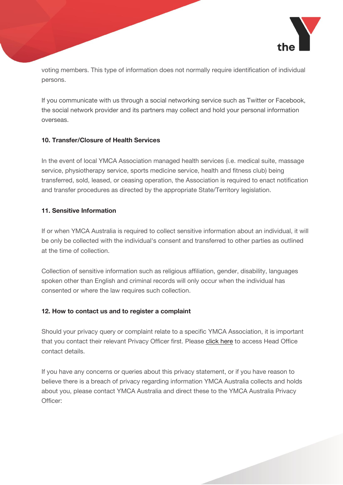

voting members. This type of information does not normally require identification of individual persons.

If you communicate with us through a social networking service such as Twitter or Facebook, the social network provider and its partners may collect and hold your personal information overseas.

## 10. Transfer/Closure of Health Services

In the event of local YMCA Association managed health services (i.e. medical suite, massage service, physiotherapy service, sports medicine service, health and fitness club) being transferred, sold, leased, or ceasing operation, the Association is required to enact notification and transfer procedures as directed by the appropriate State/Territory legislation.

#### 11. Sensitive Information **11. Sensitive Information**

If or when YMCA Australia is required to collect sensitive information about an individual, it will be only be collected with the individual's consent and transferred to other parties as outlined at the time of collection.

Collection of sensitive information such as religious affiliation, gender, disability, languages spoken other than English and criminal records will only occur when the individual has consented or where the law requires such collection.

### **12. How to contact us and to register a complaint**

Should your privacy query or complaint relate to a specific YMCA Association, it is important that you contact their relevant Privacy Officer first. Please [click here](http://ymca.org.au/where-we-are/Pages/YMCA-Association-Head-Offices.aspx) to access Head Office contact details.

If you have any concerns or queries about this privacy statement, or if you have reason to believe there is a breach of privacy regarding information YMCA Australia collects and holds about you, please contact YMCA Australia and direct these to the YMCA Australia Privacy Officer: